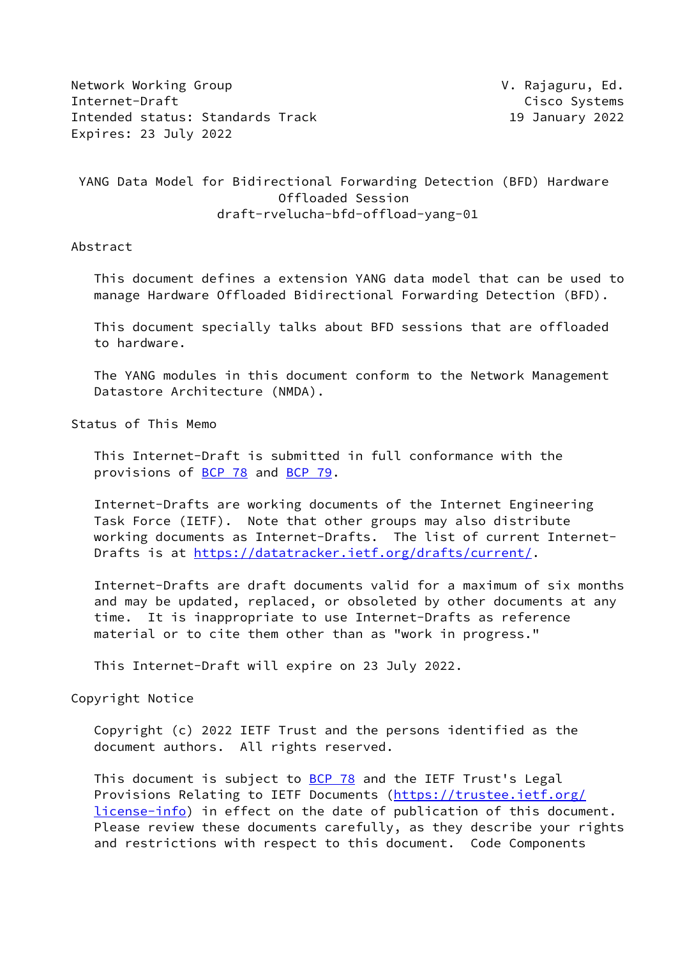Network Working Group **V. Rajaguru, Ed.** Internet-Draft Cisco Systems Intended status: Standards Track 19 January 2022 Expires: 23 July 2022

# YANG Data Model for Bidirectional Forwarding Detection (BFD) Hardware Offloaded Session draft-rvelucha-bfd-offload-yang-01

Abstract

 This document defines a extension YANG data model that can be used to manage Hardware Offloaded Bidirectional Forwarding Detection (BFD).

 This document specially talks about BFD sessions that are offloaded to hardware.

 The YANG modules in this document conform to the Network Management Datastore Architecture (NMDA).

Status of This Memo

 This Internet-Draft is submitted in full conformance with the provisions of [BCP 78](https://datatracker.ietf.org/doc/pdf/bcp78) and [BCP 79](https://datatracker.ietf.org/doc/pdf/bcp79).

 Internet-Drafts are working documents of the Internet Engineering Task Force (IETF). Note that other groups may also distribute working documents as Internet-Drafts. The list of current Internet- Drafts is at<https://datatracker.ietf.org/drafts/current/>.

 Internet-Drafts are draft documents valid for a maximum of six months and may be updated, replaced, or obsoleted by other documents at any time. It is inappropriate to use Internet-Drafts as reference material or to cite them other than as "work in progress."

This Internet-Draft will expire on 23 July 2022.

Copyright Notice

 Copyright (c) 2022 IETF Trust and the persons identified as the document authors. All rights reserved.

This document is subject to **[BCP 78](https://datatracker.ietf.org/doc/pdf/bcp78)** and the IETF Trust's Legal Provisions Relating to IETF Documents ([https://trustee.ietf.org/](https://trustee.ietf.org/license-info) [license-info](https://trustee.ietf.org/license-info)) in effect on the date of publication of this document. Please review these documents carefully, as they describe your rights and restrictions with respect to this document. Code Components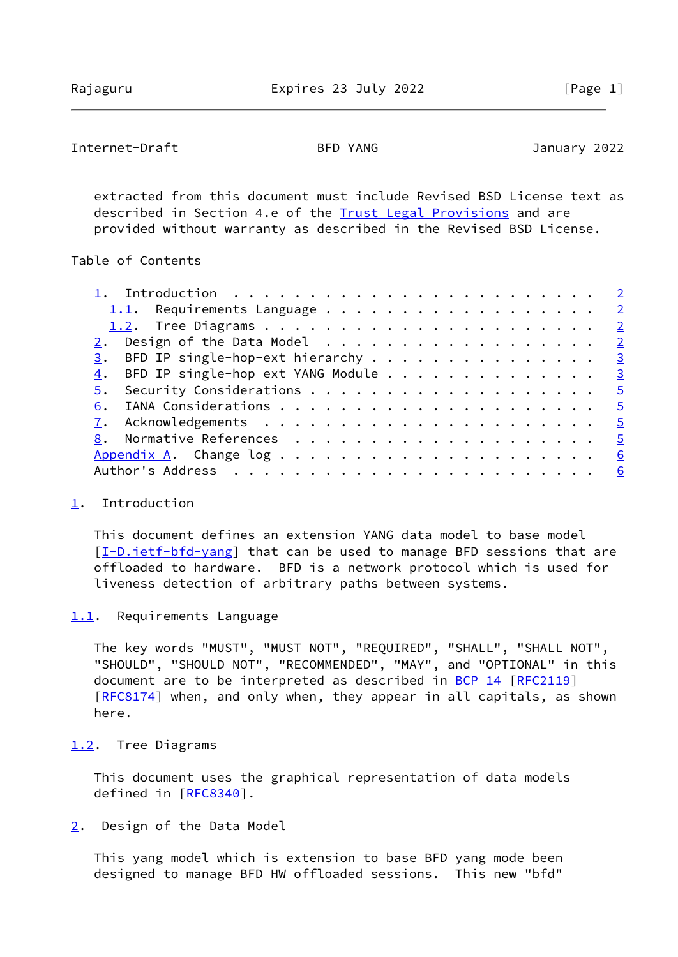# <span id="page-1-1"></span>Internet-Draft BFD YANG January 2022

 extracted from this document must include Revised BSD License text as described in Section 4.e of the **Trust Legal Provisions** and are provided without warranty as described in the Revised BSD License.

## Table of Contents

| $\frac{3}{2}$ . BFD IP single-hop-ext hierarchy 3 |                |
|---------------------------------------------------|----------------|
| BFD IP single-hop ext YANG Module 3<br>4.         |                |
| 5.                                                |                |
|                                                   |                |
|                                                   |                |
|                                                   | $\overline{5}$ |
|                                                   | <u>6</u>       |
|                                                   |                |

### <span id="page-1-0"></span>[1](#page-1-0). Introduction

 This document defines an extension YANG data model to base model [\[I-D.ietf-bfd-yang](#page-5-3)] that can be used to manage BFD sessions that are offloaded to hardware. BFD is a network protocol which is used for liveness detection of arbitrary paths between systems.

## <span id="page-1-2"></span>[1.1](#page-1-2). Requirements Language

 The key words "MUST", "MUST NOT", "REQUIRED", "SHALL", "SHALL NOT", "SHOULD", "SHOULD NOT", "RECOMMENDED", "MAY", and "OPTIONAL" in this document are to be interpreted as described in [BCP 14](https://datatracker.ietf.org/doc/pdf/bcp14) [[RFC2119](https://datatracker.ietf.org/doc/pdf/rfc2119)] [\[RFC8174](https://datatracker.ietf.org/doc/pdf/rfc8174)] when, and only when, they appear in all capitals, as shown here.

### <span id="page-1-3"></span>[1.2](#page-1-3). Tree Diagrams

 This document uses the graphical representation of data models defined in [[RFC8340\]](https://datatracker.ietf.org/doc/pdf/rfc8340).

## <span id="page-1-4"></span>[2](#page-1-4). Design of the Data Model

 This yang model which is extension to base BFD yang mode been designed to manage BFD HW offloaded sessions. This new "bfd"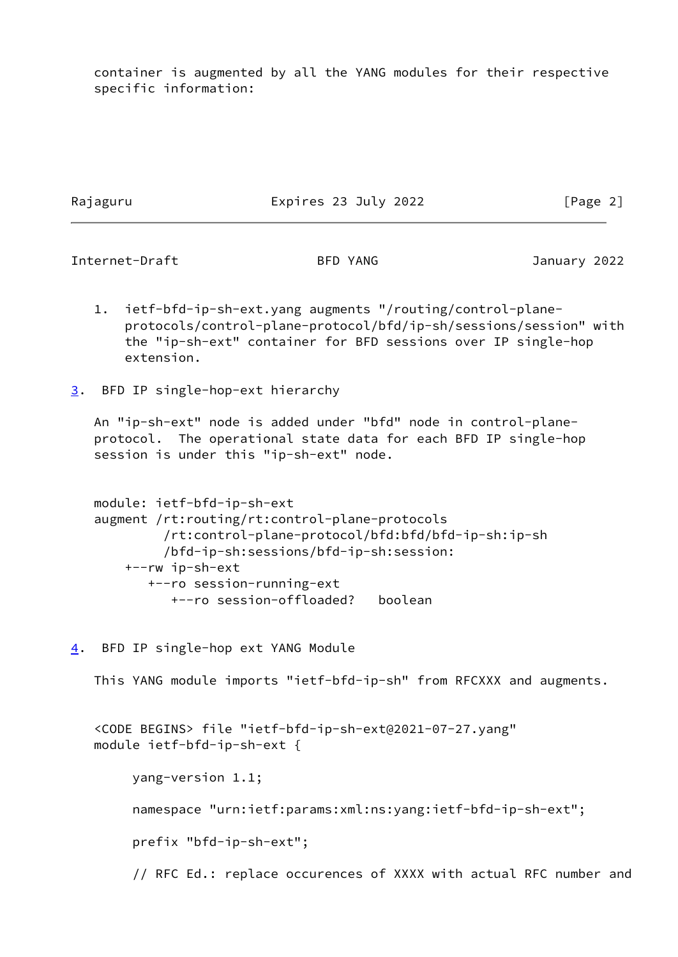container is augmented by all the YANG modules for their respective specific information:

Rajaguru Expires 23 July 2022 [Page 2]

<span id="page-2-1"></span>Internet-Draft BFD YANG January 2022

- 1. ietf-bfd-ip-sh-ext.yang augments "/routing/control-plane protocols/control-plane-protocol/bfd/ip-sh/sessions/session" with the "ip-sh-ext" container for BFD sessions over IP single-hop extension.
- <span id="page-2-0"></span>[3](#page-2-0). BFD IP single-hop-ext hierarchy

 An "ip-sh-ext" node is added under "bfd" node in control-plane protocol. The operational state data for each BFD IP single-hop session is under this "ip-sh-ext" node.

```
 module: ietf-bfd-ip-sh-ext
 augment /rt:routing/rt:control-plane-protocols
          /rt:control-plane-protocol/bfd:bfd/bfd-ip-sh:ip-sh
          /bfd-ip-sh:sessions/bfd-ip-sh:session:
     +--rw ip-sh-ext
        +--ro session-running-ext
           +--ro session-offloaded? boolean
```
<span id="page-2-2"></span>[4](#page-2-2). BFD IP single-hop ext YANG Module

This YANG module imports "ietf-bfd-ip-sh" from RFCXXX and augments.

```
 <CODE BEGINS> file "ietf-bfd-ip-sh-ext@2021-07-27.yang"
 module ietf-bfd-ip-sh-ext {
```
 yang-version 1.1; namespace "urn:ietf:params:xml:ns:yang:ietf-bfd-ip-sh-ext"; prefix "bfd-ip-sh-ext"; // RFC Ed.: replace occurences of XXXX with actual RFC number and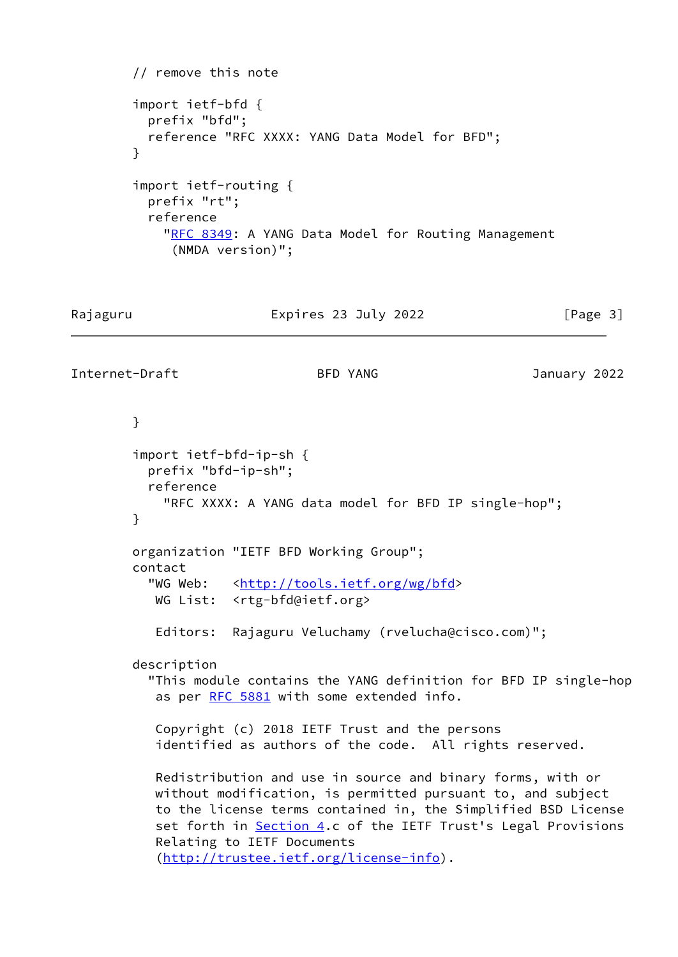```
 // remove this note
         import ietf-bfd {
          prefix "bfd";
           reference "RFC XXXX: YANG Data Model for BFD";
         }
         import ietf-routing {
          prefix "rt";
           reference
           "RFC 8349: A YANG Data Model for Routing Management
              (NMDA version)";
Rajaguru                             Expires 23 July 2022                   [Page 3]
Internet-Draft BFD YANG January 2022
        }
         import ietf-bfd-ip-sh {
          prefix "bfd-ip-sh";
          reference
            "RFC XXXX: A YANG data model for BFD IP single-hop";
         }
        organization "IETF BFD Working Group";
         contact
          http://tools.ietf.org/wg/bfd>
           WG List: <rtg-bfd@ietf.org>
           Editors: Rajaguru Veluchamy (rvelucha@cisco.com)";
        description
           "This module contains the YANG definition for BFD IP single-hop
           RFC 5881 with some extended info.
           Copyright (c) 2018 IETF Trust and the persons
            identified as authors of the code. All rights reserved.
           Redistribution and use in source and binary forms, with or
           without modification, is permitted pursuant to, and subject
           to the license terms contained in, the Simplified BSD License
            Section 4.c of the IETF Trust's Legal Provisions
           Relating to IETF Documents
            (http://trustee.ietf.org/license-info).
```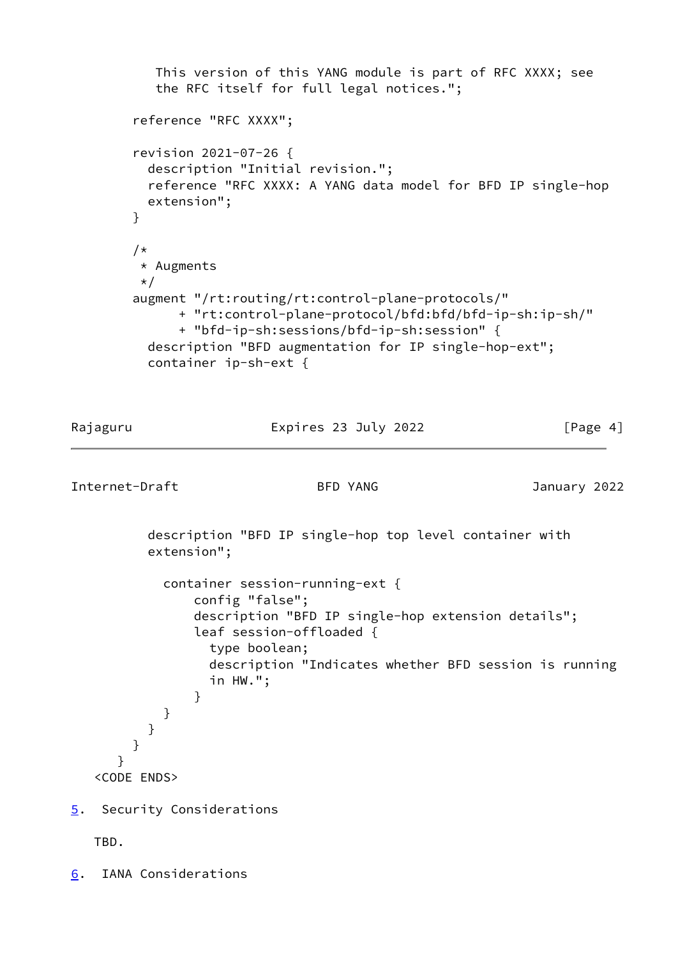```
 This version of this YANG module is part of RFC XXXX; see
           the RFC itself for full legal notices.";
        reference "RFC XXXX";
        revision 2021-07-26 {
          description "Initial revision.";
          reference "RFC XXXX: A YANG data model for BFD IP single-hop
          extension";
        }
        /*
         * Augments
         */
        augment "/rt:routing/rt:control-plane-protocols/"
              + "rt:control-plane-protocol/bfd:bfd/bfd-ip-sh:ip-sh/"
              + "bfd-ip-sh:sessions/bfd-ip-sh:session" {
          description "BFD augmentation for IP single-hop-ext";
          container ip-sh-ext {
Rajaguru Expires 23 July 2022 [Page 4]
Internet-Draft BFD YANG January 2022
          description "BFD IP single-hop top level container with
          extension";
            container session-running-ext {
                config "false";
                description "BFD IP single-hop extension details";
                leaf session-offloaded {
                  type boolean;
                  description "Indicates whether BFD session is running
                  in HW.";
 }
 }
          }
        }
      }
   <CODE ENDS>
5. Security Considerations
   TBD.
```
<span id="page-4-2"></span><span id="page-4-0"></span>[6](#page-4-2). IANA Considerations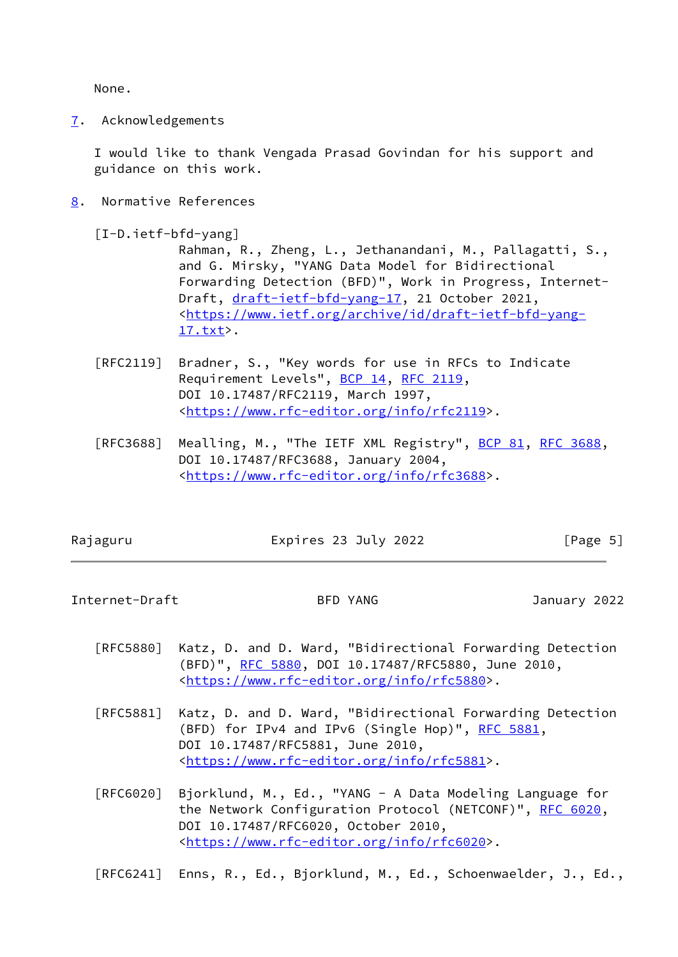None.

<span id="page-5-0"></span>[7](#page-5-0). Acknowledgements

 I would like to thank Vengada Prasad Govindan for his support and guidance on this work.

<span id="page-5-1"></span>[8](#page-5-1). Normative References

<span id="page-5-3"></span>[I-D.ietf-bfd-yang]

 Rahman, R., Zheng, L., Jethanandani, M., Pallagatti, S., and G. Mirsky, "YANG Data Model for Bidirectional Forwarding Detection (BFD)", Work in Progress, Internet Draft, [draft-ietf-bfd-yang-17](https://datatracker.ietf.org/doc/pdf/draft-ietf-bfd-yang-17), 21 October 2021, <[https://www.ietf.org/archive/id/draft-ietf-bfd-yang-](https://www.ietf.org/archive/id/draft-ietf-bfd-yang-17.txt) [17.txt](https://www.ietf.org/archive/id/draft-ietf-bfd-yang-17.txt)>.

- [RFC2119] Bradner, S., "Key words for use in RFCs to Indicate Requirement Levels", [BCP 14](https://datatracker.ietf.org/doc/pdf/bcp14), [RFC 2119](https://datatracker.ietf.org/doc/pdf/rfc2119), DOI 10.17487/RFC2119, March 1997, <[https://www.rfc-editor.org/info/rfc2119>](https://www.rfc-editor.org/info/rfc2119).
- [RFC3688] Mealling, M., "The IETF XML Registry", [BCP 81](https://datatracker.ietf.org/doc/pdf/bcp81), [RFC 3688](https://datatracker.ietf.org/doc/pdf/rfc3688), DOI 10.17487/RFC3688, January 2004, <[https://www.rfc-editor.org/info/rfc3688>](https://www.rfc-editor.org/info/rfc3688).

| Rajaguru | Expires 23 July 2022 | [Page $5$ ] |
|----------|----------------------|-------------|
|          |                      |             |

<span id="page-5-2"></span>Internet-Draft BFD YANG January 2022

- [RFC5880] Katz, D. and D. Ward, "Bidirectional Forwarding Detection (BFD)", [RFC 5880,](https://datatracker.ietf.org/doc/pdf/rfc5880) DOI 10.17487/RFC5880, June 2010, <[https://www.rfc-editor.org/info/rfc5880>](https://www.rfc-editor.org/info/rfc5880).
- [RFC5881] Katz, D. and D. Ward, "Bidirectional Forwarding Detection (BFD) for IPv4 and IPv6 (Single Hop)", [RFC 5881](https://datatracker.ietf.org/doc/pdf/rfc5881), DOI 10.17487/RFC5881, June 2010, <[https://www.rfc-editor.org/info/rfc5881>](https://www.rfc-editor.org/info/rfc5881).
- [RFC6020] Bjorklund, M., Ed., "YANG A Data Modeling Language for the Network Configuration Protocol (NETCONF)", [RFC 6020](https://datatracker.ietf.org/doc/pdf/rfc6020), DOI 10.17487/RFC6020, October 2010, <[https://www.rfc-editor.org/info/rfc6020>](https://www.rfc-editor.org/info/rfc6020).

[RFC6241] Enns, R., Ed., Bjorklund, M., Ed., Schoenwaelder, J., Ed.,